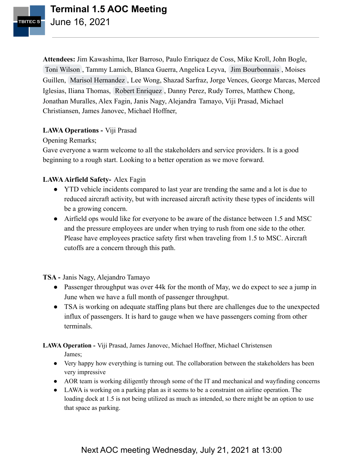

**Attendees:** Jim Kawashima, Iker Barroso, Paulo Enriquez de Coss, Mike Kroll, John Bogle, [Toni Wilson](mailto:toni.wilson@wnco.com) , Tammy Lamich, Blanca Guerra, Angelica Leyva, [Jim Bourbonnais](mailto:jbourbonnais@atsstl.com) , Moises Guillen, [Marisol Hernandez](mailto:marisol.hernandez@tasinc.aero) , Lee Wong, Shazad Sarfraz, Jorge Vences, George Marcas, Merced Iglesias, Iliana Thomas, [Robert Enriquez](mailto:Robert.Enriquez@atmlax.com) , Danny Perez, Rudy Torres, Matthew Chong, Jonathan Muralles, Alex Fagin, Janis Nagy, Alejandra Tamayo, Viji Prasad, Michael Christiansen, James Janovec, Michael Hoffner,

# **LAWA Operations -** Viji Prasad

Opening Remarks;

Gave everyone a warm welcome to all the stakeholders and service providers. It is a good beginning to a rough start. Looking to a better operation as we move forward.

# **LAWAAirfield Safety-** Alex Fagin

- YTD vehicle incidents compared to last year are trending the same and a lot is due to reduced aircraft activity, but with increased aircraft activity these types of incidents will be a growing concern.
- Airfield ops would like for everyone to be aware of the distance between 1.5 and MSC and the pressure employees are under when trying to rush from one side to the other. Please have employees practice safety first when traveling from 1.5 to MSC. Aircraft cutoffs are a concern through this path.

**TSA -** Janis Nagy, Alejandro Tamayo

- Passenger throughput was over 44k for the month of May, we do expect to see a jump in June when we have a full month of passenger throughput.
- TSA is working on adequate staffing plans but there are challenges due to the unexpected influx of passengers. It is hard to gauge when we have passengers coming from other terminals.

**LAWA Operation -** Viji Prasad, James Janovec, Michael Hoffner, Michael Christensen

- James;
- Very happy how everything is turning out. The collaboration between the stakeholders has been very impressive
- AOR team is working diligently through some of the IT and mechanical and wayfinding concerns
- LAWA is working on a parking plan as it seems to be a constraint on airline operation. The loading dock at 1.5 is not being utilized as much as intended, so there might be an option to use that space as parking.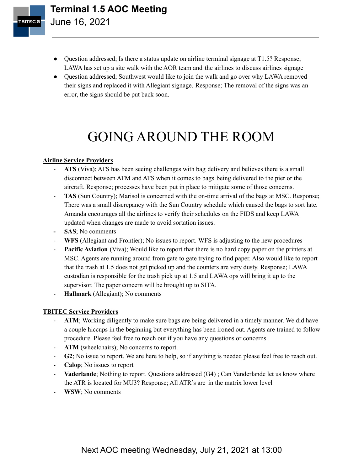

- Question addressed; Is there a status update on airline terminal signage at T1.5? Response; LAWA has set up a site walk with the AOR team and the airlines to discuss airlines signage
- Question addressed; Southwest would like to join the walk and go over why LAWA removed their signs and replaced it with Allegiant signage. Response; The removal of the signs was an error, the signs should be put back soon.

# GOING AROUND THE ROOM

### **Airline Service Providers**

- ATS (Viva); ATS has been seeing challenges with bag delivery and believes there is a small disconnect between ATM and ATS when it comes to bags being delivered to the pier or the aircraft. Response; processes have been put in place to mitigate some of those concerns.
- TAS (Sun Country); Marisol is concerned with the on-time arrival of the bags at MSC. Response; There was a small discrepancy with the Sun Country schedule which caused the bags to sort late. Amanda encourages all the airlines to verify their schedules on the FIDS and keep LAWA updated when changes are made to avoid sortation issues.
- **- SAS**; No comments
- **WFS** (Allegiant and Frontier); No issues to report. WFS is adjusting to the new procedures
- **Pacific Aviation** (Viva); Would like to report that there is no hard copy paper on the printers at MSC. Agents are running around from gate to gate trying to find paper. Also would like to report that the trash at 1.5 does not get picked up and the counters are very dusty. Response; LAWA custodian is responsible for the trash pick up at 1.5 and LAWA ops will bring it up to the supervisor. The paper concern will be brought up to SITA.
- **Hallmark** (Allegiant); No comments

# **TBITEC Service Providers**

- ATM; Working diligently to make sure bags are being delivered in a timely manner. We did have a couple hiccups in the beginning but everything has been ironed out. Agents are trained to follow procedure. Please feel free to reach out if you have any questions or concerns.
- ATM (wheelchairs); No concerns to report.
- **G2**; No issue to report. We are here to help, so if anything is needed please feel free to reach out.
- **Calop**; No issues to report
- **Vaderlande**; Nothing to report. Questions addressed (G4) ; Can Vanderlande let us know where the ATR is located for MU3? Response; All ATR's are in the matrix lower level
- **WSW**; No comments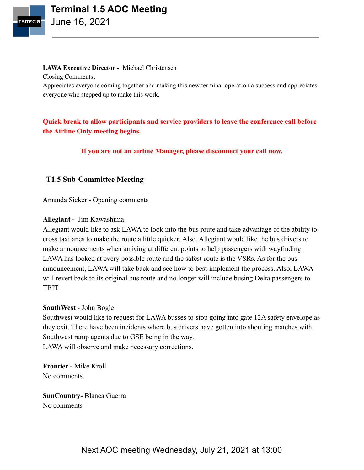

#### **LAWA Executive Director -** Michael Christensen

Closing Comments**;**

Appreciates everyone coming together and making this new terminal operation a success and appreciates everyone who stepped up to make this work.

# **Quick break to allow participants and service providers to leave the conference call before the Airline Only meeting begins.**

**If you are not an airline Manager, please disconnect your call now.**

# **T1.5 Sub-Committee Meeting**

Amanda Sieker - Opening comments

### **Allegiant -** Jim Kawashima

Allegiant would like to ask LAWA to look into the bus route and take advantage of the ability to cross taxilanes to make the route a little quicker. Also, Allegiant would like the bus drivers to make announcements when arriving at different points to help passengers with wayfinding. LAWA has looked at every possible route and the safest route is the VSRs. As for the bus announcement, LAWA will take back and see how to best implement the process. Also, LAWA will revert back to its original bus route and no longer will include busing Delta passengers to TBIT.

### **SouthWest** - John Bogle

Southwest would like to request for LAWA busses to stop going into gate 12A safety envelope as they exit. There have been incidents where bus drivers have gotten into shouting matches with Southwest ramp agents due to GSE being in the way. LAWA will observe and make necessary corrections.

**Frontier -** Mike Kroll No comments.

**SunCountry-** Blanca Guerra No comments